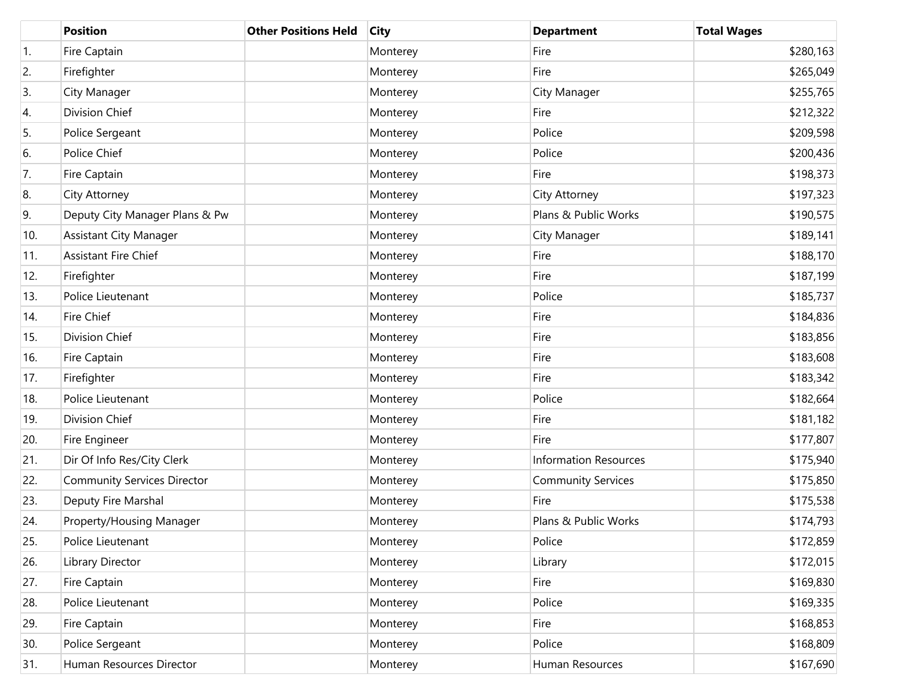|                  | <b>Position</b>                    | <b>Other Positions Held</b> | <b>City</b> | <b>Department</b>            | <b>Total Wages</b> |
|------------------|------------------------------------|-----------------------------|-------------|------------------------------|--------------------|
| $\overline{1}$ . | Fire Captain                       |                             | Monterey    | Fire                         | \$280,163          |
| 2.               | Firefighter                        |                             | Monterey    | Fire                         | \$265,049          |
| 3.               | City Manager                       |                             | Monterey    | City Manager                 | \$255,765          |
| 4.               | Division Chief                     |                             | Monterey    | Fire                         | \$212,322          |
| 5.               | Police Sergeant                    |                             | Monterey    | Police                       | \$209,598          |
| 6.               | Police Chief                       |                             | Monterey    | Police                       | \$200,436          |
| 7.               | Fire Captain                       |                             | Monterey    | Fire                         | \$198,373          |
| 8.               | City Attorney                      |                             | Monterey    | City Attorney                | \$197,323          |
| 9.               | Deputy City Manager Plans & Pw     |                             | Monterey    | Plans & Public Works         | \$190,575          |
| 10.              | <b>Assistant City Manager</b>      |                             | Monterey    | City Manager                 | \$189,141          |
| 11.              | Assistant Fire Chief               |                             | Monterey    | Fire                         | \$188,170          |
| 12.              | Firefighter                        |                             | Monterey    | Fire                         | \$187,199          |
| 13.              | Police Lieutenant                  |                             | Monterey    | Police                       | \$185,737          |
| 14.              | Fire Chief                         |                             | Monterey    | Fire                         | \$184,836          |
| 15.              | Division Chief                     |                             | Monterey    | Fire                         | \$183,856          |
| 16.              | Fire Captain                       |                             | Monterey    | Fire                         | \$183,608          |
| 17.              | Firefighter                        |                             | Monterey    | Fire                         | \$183,342          |
| 18.              | Police Lieutenant                  |                             | Monterey    | Police                       | \$182,664          |
| 19.              | Division Chief                     |                             | Monterey    | Fire                         | \$181,182          |
| 20.              | Fire Engineer                      |                             | Monterey    | Fire                         | \$177,807          |
| 21.              | Dir Of Info Res/City Clerk         |                             | Monterey    | <b>Information Resources</b> | \$175,940          |
| 22.              | <b>Community Services Director</b> |                             | Monterey    | <b>Community Services</b>    | \$175,850          |
| 23.              | Deputy Fire Marshal                |                             | Monterey    | Fire                         | \$175,538          |
| 24.              | Property/Housing Manager           |                             | Monterey    | Plans & Public Works         | \$174,793          |
| 25.              | Police Lieutenant                  |                             | Monterey    | Police                       | \$172,859          |
| 26.              | Library Director                   |                             | Monterey    | Library                      | \$172,015          |
| 27.              | Fire Captain                       |                             | Monterey    | Fire                         | \$169,830          |
| 28.              | Police Lieutenant                  |                             | Monterey    | Police                       | \$169,335          |
| 29.              | Fire Captain                       |                             | Monterey    | Fire                         | \$168,853          |
| 30.              | Police Sergeant                    |                             | Monterey    | Police                       | \$168,809          |
| 31.              | Human Resources Director           |                             | Monterey    | Human Resources              | \$167,690          |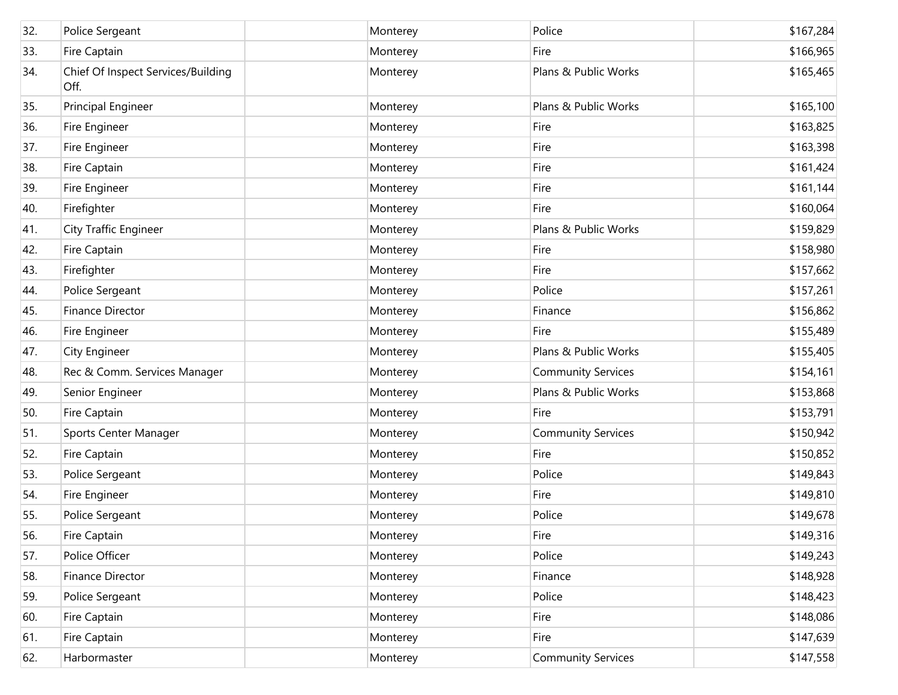| 32. | Police Sergeant                            | Monterey | Police                    | \$167,284 |
|-----|--------------------------------------------|----------|---------------------------|-----------|
| 33. | Fire Captain                               | Monterey | Fire                      | \$166,965 |
| 34. | Chief Of Inspect Services/Building<br>Off. | Monterey | Plans & Public Works      | \$165,465 |
| 35. | Principal Engineer                         | Monterey | Plans & Public Works      | \$165,100 |
| 36. | Fire Engineer                              | Monterey | Fire                      | \$163,825 |
| 37. | Fire Engineer                              | Monterey | Fire                      | \$163,398 |
| 38. | Fire Captain                               | Monterey | Fire                      | \$161,424 |
| 39. | Fire Engineer                              | Monterey | Fire                      | \$161,144 |
| 40. | Firefighter                                | Monterey | Fire                      | \$160,064 |
| 41. | <b>City Traffic Engineer</b>               | Monterey | Plans & Public Works      | \$159,829 |
| 42. | Fire Captain                               | Monterey | Fire                      | \$158,980 |
| 43. | Firefighter                                | Monterey | Fire                      | \$157,662 |
| 44. | Police Sergeant                            | Monterey | Police                    | \$157,261 |
| 45. | Finance Director                           | Monterey | Finance                   | \$156,862 |
| 46. | Fire Engineer                              | Monterey | Fire                      | \$155,489 |
| 47. | City Engineer                              | Monterey | Plans & Public Works      | \$155,405 |
| 48. | Rec & Comm. Services Manager               | Monterey | <b>Community Services</b> | \$154,161 |
| 49. | Senior Engineer                            | Monterey | Plans & Public Works      | \$153,868 |
| 50. | Fire Captain                               | Monterey | Fire                      | \$153,791 |
| 51. | Sports Center Manager                      | Monterey | <b>Community Services</b> | \$150,942 |
| 52. | Fire Captain                               | Monterey | Fire                      | \$150,852 |
| 53. | Police Sergeant                            | Monterey | Police                    | \$149,843 |
| 54. | Fire Engineer                              | Monterey | Fire                      | \$149,810 |
| 55. | Police Sergeant                            | Monterey | Police                    | \$149,678 |
| 56. | Fire Captain                               | Monterey | Fire                      | \$149,316 |
| 57. | Police Officer                             | Monterey | Police                    | \$149,243 |
| 58. | Finance Director                           | Monterey | Finance                   | \$148,928 |
| 59. | Police Sergeant                            | Monterey | Police                    | \$148,423 |
| 60. | Fire Captain                               | Monterey | Fire                      | \$148,086 |
| 61. | Fire Captain                               | Monterey | Fire                      | \$147,639 |
| 62. | Harbormaster                               | Monterey | <b>Community Services</b> | \$147,558 |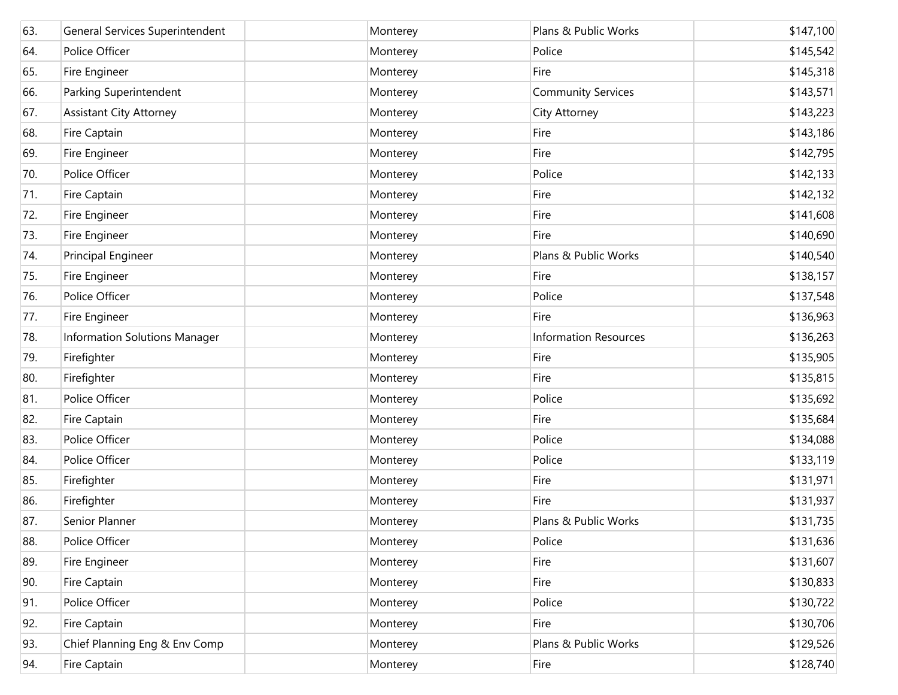| 63. | General Services Superintendent | Monterey | Plans & Public Works         | \$147,100 |
|-----|---------------------------------|----------|------------------------------|-----------|
| 64. | Police Officer                  | Monterey | Police                       | \$145,542 |
| 65. | Fire Engineer                   | Monterey | Fire                         | \$145,318 |
| 66. | Parking Superintendent          | Monterey | <b>Community Services</b>    | \$143,571 |
| 67. | Assistant City Attorney         | Monterey | City Attorney                | \$143,223 |
| 68. | Fire Captain                    | Monterey | Fire                         | \$143,186 |
| 69. | Fire Engineer                   | Monterey | Fire                         | \$142,795 |
| 70. | Police Officer                  | Monterey | Police                       | \$142,133 |
| 71. | Fire Captain                    | Monterey | Fire                         | \$142,132 |
| 72. | Fire Engineer                   | Monterey | Fire                         | \$141,608 |
| 73. | Fire Engineer                   | Monterey | Fire                         | \$140,690 |
| 74. | Principal Engineer              | Monterey | Plans & Public Works         | \$140,540 |
| 75. | Fire Engineer                   | Monterey | Fire                         | \$138,157 |
| 76. | Police Officer                  | Monterey | Police                       | \$137,548 |
| 77. | Fire Engineer                   | Monterey | Fire                         | \$136,963 |
| 78. | Information Solutions Manager   | Monterey | <b>Information Resources</b> | \$136,263 |
| 79. | Firefighter                     | Monterey | Fire                         | \$135,905 |
| 80. | Firefighter                     | Monterey | Fire                         | \$135,815 |
| 81. | Police Officer                  | Monterey | Police                       | \$135,692 |
| 82. | Fire Captain                    | Monterey | Fire                         | \$135,684 |
| 83. | Police Officer                  | Monterey | Police                       | \$134,088 |
| 84. | Police Officer                  | Monterey | Police                       | \$133,119 |
| 85. | Firefighter                     | Monterey | Fire                         | \$131,971 |
| 86. | Firefighter                     | Monterey | Fire                         | \$131,937 |
| 87. | Senior Planner                  | Monterey | Plans & Public Works         | \$131,735 |
| 88. | Police Officer                  | Monterey | Police                       | \$131,636 |
| 89. | Fire Engineer                   | Monterey | Fire                         | \$131,607 |
| 90. | Fire Captain                    | Monterey | Fire                         | \$130,833 |
| 91. | Police Officer                  | Monterey | Police                       | \$130,722 |
| 92. | Fire Captain                    | Monterey | Fire                         | \$130,706 |
| 93. | Chief Planning Eng & Env Comp   | Monterey | Plans & Public Works         | \$129,526 |
| 94. | Fire Captain                    | Monterey | Fire                         | \$128,740 |